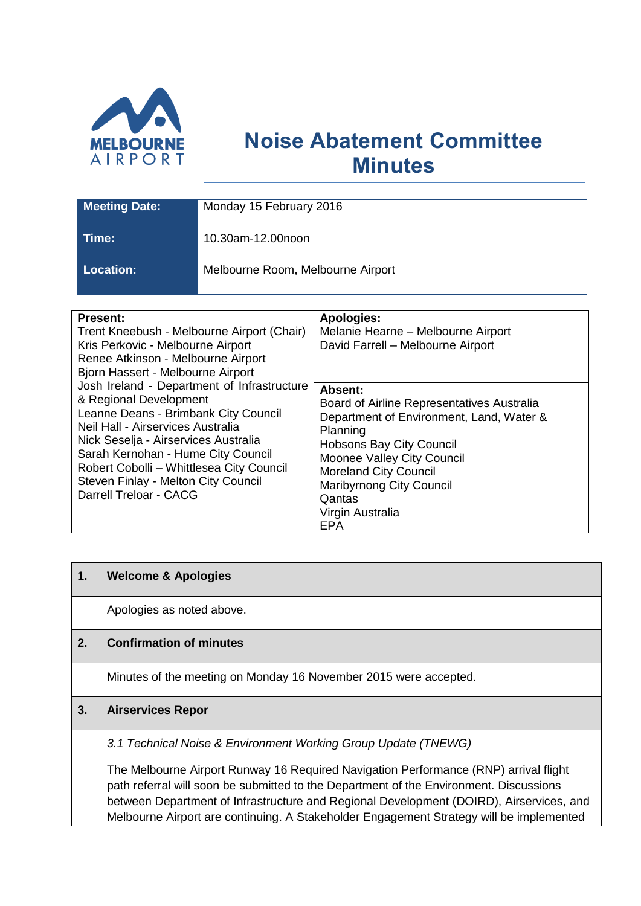

## **Noise Abatement Committee Minutes**

| <b>Meeting Date:</b> | Monday 15 February 2016           |
|----------------------|-----------------------------------|
| Time:                | 10.30am-12.00noon                 |
| <b>Location:</b> '   | Melbourne Room, Melbourne Airport |

| <b>Present:</b><br>Trent Kneebush - Melbourne Airport (Chair)<br>Kris Perkovic - Melbourne Airport<br>Renee Atkinson - Melbourne Airport<br>Bjorn Hassert - Melbourne Airport<br>Josh Ireland - Department of Infrastructure<br>& Regional Development               | <b>Apologies:</b><br>Melanie Hearne - Melbourne Airport<br>David Farrell - Melbourne Airport<br>Absent:<br>Board of Airline Representatives Australia                                                           |
|----------------------------------------------------------------------------------------------------------------------------------------------------------------------------------------------------------------------------------------------------------------------|-----------------------------------------------------------------------------------------------------------------------------------------------------------------------------------------------------------------|
| Leanne Deans - Brimbank City Council<br>Neil Hall - Airservices Australia<br>Nick Seselja - Airservices Australia<br>Sarah Kernohan - Hume City Council<br>Robert Cobolli - Whittlesea City Council<br>Steven Finlay - Melton City Council<br>Darrell Treloar - CACG | Department of Environment, Land, Water &<br>Planning<br>Hobsons Bay City Council<br>Moonee Valley City Council<br><b>Moreland City Council</b><br><b>Maribyrnong City Council</b><br>Qantas<br>Virgin Australia |
|                                                                                                                                                                                                                                                                      | <b>EPA</b>                                                                                                                                                                                                      |

| 1. | <b>Welcome &amp; Apologies</b>                                                                                                                                                 |
|----|--------------------------------------------------------------------------------------------------------------------------------------------------------------------------------|
|    | Apologies as noted above.                                                                                                                                                      |
| 2. | <b>Confirmation of minutes</b>                                                                                                                                                 |
|    | Minutes of the meeting on Monday 16 November 2015 were accepted.                                                                                                               |
| 3. | <b>Airservices Repor</b>                                                                                                                                                       |
|    | 3.1 Technical Noise & Environment Working Group Update (TNEWG)                                                                                                                 |
|    | The Melbourne Airport Runway 16 Required Navigation Performance (RNP) arrival flight<br>path referral will soon be submitted to the Department of the Environment. Discussions |
|    | between Department of Infrastructure and Regional Development (DOIRD), Airservices, and                                                                                        |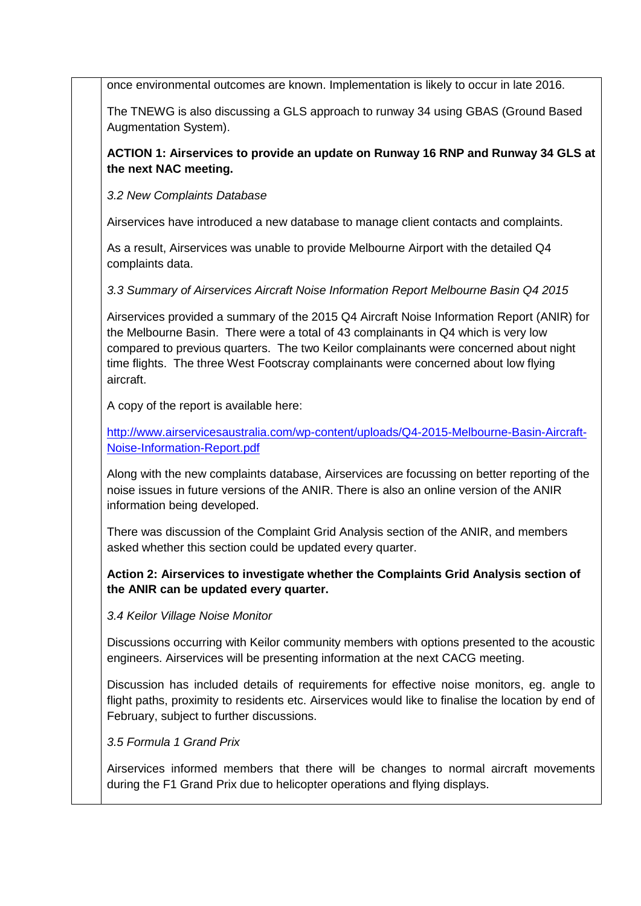once environmental outcomes are known. Implementation is likely to occur in late 2016.

The TNEWG is also discussing a GLS approach to runway 34 using GBAS (Ground Based Augmentation System).

**ACTION 1: Airservices to provide an update on Runway 16 RNP and Runway 34 GLS at the next NAC meeting.**

*3.2 New Complaints Database*

Airservices have introduced a new database to manage client contacts and complaints.

As a result, Airservices was unable to provide Melbourne Airport with the detailed Q4 complaints data.

*3.3 Summary of Airservices Aircraft Noise Information Report Melbourne Basin Q4 2015*

Airservices provided a summary of the 2015 Q4 Aircraft Noise Information Report (ANIR) for the Melbourne Basin. There were a total of 43 complainants in Q4 which is very low compared to previous quarters. The two Keilor complainants were concerned about night time flights. The three West Footscray complainants were concerned about low flying aircraft.

A copy of the report is available here:

[http://www.airservicesaustralia.com/wp-content/uploads/Q4-2015-Melbourne-Basin-Aircraft-](http://www.airservicesaustralia.com/wp-content/uploads/Q4-2015-Melbourne-Basin-Aircraft-Noise-Information-Report.pdf)[Noise-Information-Report.pdf](http://www.airservicesaustralia.com/wp-content/uploads/Q4-2015-Melbourne-Basin-Aircraft-Noise-Information-Report.pdf)

Along with the new complaints database, Airservices are focussing on better reporting of the noise issues in future versions of the ANIR. There is also an online version of the ANIR information being developed.

There was discussion of the Complaint Grid Analysis section of the ANIR, and members asked whether this section could be updated every quarter.

## **Action 2: Airservices to investigate whether the Complaints Grid Analysis section of the ANIR can be updated every quarter.**

*3.4 Keilor Village Noise Monitor*

Discussions occurring with Keilor community members with options presented to the acoustic engineers. Airservices will be presenting information at the next CACG meeting.

Discussion has included details of requirements for effective noise monitors, eg. angle to flight paths, proximity to residents etc. Airservices would like to finalise the location by end of February, subject to further discussions.

*3.5 Formula 1 Grand Prix*

Airservices informed members that there will be changes to normal aircraft movements during the F1 Grand Prix due to helicopter operations and flying displays.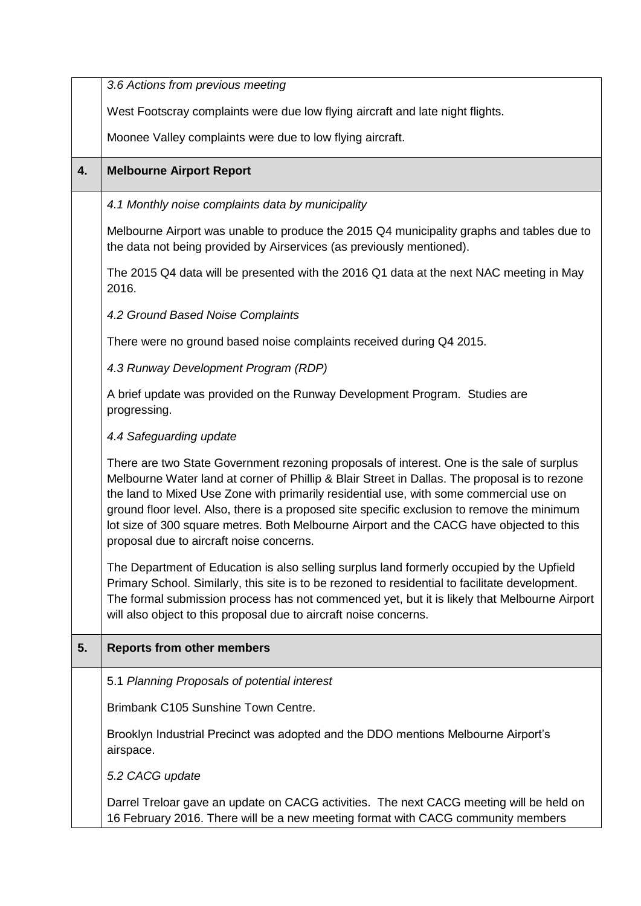|    | 3.6 Actions from previous meeting                                                                                                                                                                                                                                                                                                                                                                                                                                                                                           |
|----|-----------------------------------------------------------------------------------------------------------------------------------------------------------------------------------------------------------------------------------------------------------------------------------------------------------------------------------------------------------------------------------------------------------------------------------------------------------------------------------------------------------------------------|
|    | West Footscray complaints were due low flying aircraft and late night flights.                                                                                                                                                                                                                                                                                                                                                                                                                                              |
|    | Moonee Valley complaints were due to low flying aircraft.                                                                                                                                                                                                                                                                                                                                                                                                                                                                   |
| 4. | <b>Melbourne Airport Report</b>                                                                                                                                                                                                                                                                                                                                                                                                                                                                                             |
|    | 4.1 Monthly noise complaints data by municipality                                                                                                                                                                                                                                                                                                                                                                                                                                                                           |
|    | Melbourne Airport was unable to produce the 2015 Q4 municipality graphs and tables due to<br>the data not being provided by Airservices (as previously mentioned).                                                                                                                                                                                                                                                                                                                                                          |
|    | The 2015 Q4 data will be presented with the 2016 Q1 data at the next NAC meeting in May<br>2016.                                                                                                                                                                                                                                                                                                                                                                                                                            |
|    | 4.2 Ground Based Noise Complaints                                                                                                                                                                                                                                                                                                                                                                                                                                                                                           |
|    | There were no ground based noise complaints received during Q4 2015.                                                                                                                                                                                                                                                                                                                                                                                                                                                        |
|    | 4.3 Runway Development Program (RDP)                                                                                                                                                                                                                                                                                                                                                                                                                                                                                        |
|    | A brief update was provided on the Runway Development Program. Studies are<br>progressing.                                                                                                                                                                                                                                                                                                                                                                                                                                  |
|    | 4.4 Safeguarding update                                                                                                                                                                                                                                                                                                                                                                                                                                                                                                     |
|    | There are two State Government rezoning proposals of interest. One is the sale of surplus<br>Melbourne Water land at corner of Phillip & Blair Street in Dallas. The proposal is to rezone<br>the land to Mixed Use Zone with primarily residential use, with some commercial use on<br>ground floor level. Also, there is a proposed site specific exclusion to remove the minimum<br>lot size of 300 square metres. Both Melbourne Airport and the CACG have objected to this<br>proposal due to aircraft noise concerns. |
|    | The Department of Education is also selling surplus land formerly occupied by the Upfield<br>Primary School. Similarly, this site is to be rezoned to residential to facilitate development.<br>The formal submission process has not commenced yet, but it is likely that Melbourne Airport<br>will also object to this proposal due to aircraft noise concerns.                                                                                                                                                           |
| 5. | <b>Reports from other members</b>                                                                                                                                                                                                                                                                                                                                                                                                                                                                                           |
|    | 5.1 Planning Proposals of potential interest                                                                                                                                                                                                                                                                                                                                                                                                                                                                                |
|    | Brimbank C105 Sunshine Town Centre.                                                                                                                                                                                                                                                                                                                                                                                                                                                                                         |
|    | Brooklyn Industrial Precinct was adopted and the DDO mentions Melbourne Airport's<br>airspace.                                                                                                                                                                                                                                                                                                                                                                                                                              |
|    | 5.2 CACG update                                                                                                                                                                                                                                                                                                                                                                                                                                                                                                             |
|    | Darrel Treloar gave an update on CACG activities. The next CACG meeting will be held on<br>16 February 2016. There will be a new meeting format with CACG community members                                                                                                                                                                                                                                                                                                                                                 |